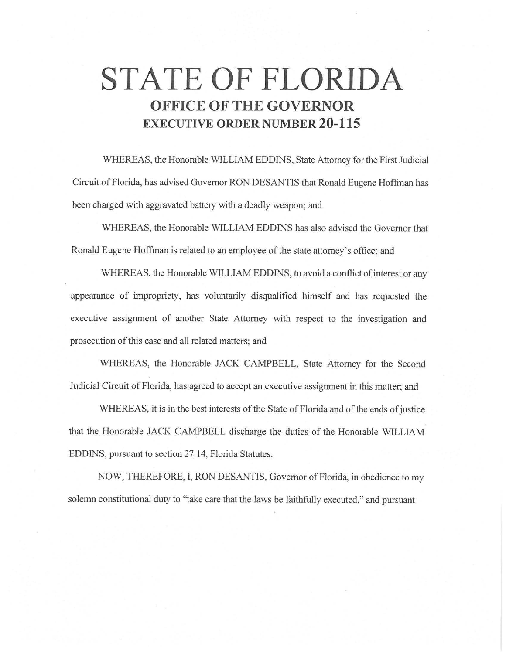# **STATE OF FLORIDA OFFICE OF THE GOVERNOR EXECUTIVE ORDER NUMBER 20-115**

WHEREAS, the Honorable WILLIAM EDDINS, State Attorney for the First Judicial Circuit of Florida, has advised Governor RON DESANTIS that Ronald Eugene Hoffman has been charged with aggravated battery with a deadly weapon; and

WHEREAS, the Honorable WILLIAM EDDINS has also advised the Governor that Ronald Eugene Hoffman is related to an employee of the state attorney's office; and

WHEREAS, the Honorable WILLIAM EDDINS, to avoid a conflict of interest or any appearance of impropriety, has voluntarily disqualified himself and has requested the executive assignment of another State Attorney with respect to the investigation and prosecution of this case and all related matters; and

WHEREAS, the Honorable JACK CAMPBELL, State Attorney for the Second Judicial Circuit of Florida, has agreed to accept an executive assignment in this matter; and

WHEREAS, it is in the best interests of the State of Florida and of the ends of justice that the Honorable JACK CAMPBELL discharge the duties of the Honorable WILLIAM EDDINS, pursuant to section 27.14, Florida Statutes.

NOW, THEREFORE, I, RON DESANTIS, Governor of Florida, in obedience to my solemn constitutional duty to "take care that the laws be faithfully executed," and pursuant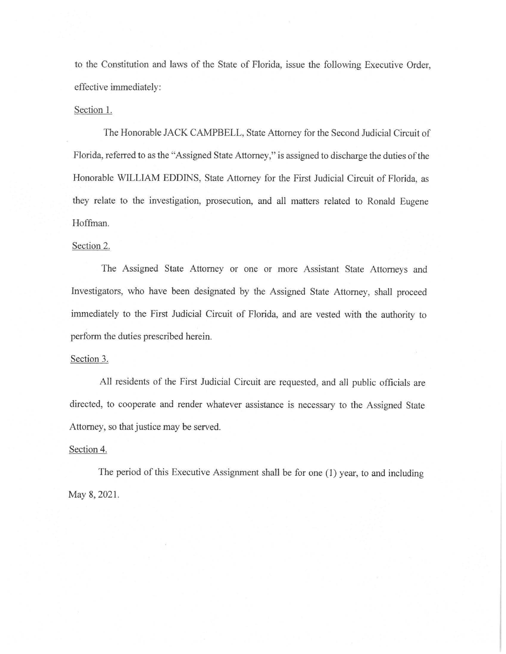to the Constitution and laws of the State of Florida, issue the following Executive Order, effective immediately:

### Section 1.

The Honorable JACK CAMPBELL, State Attorney for the Second Judicial Circuit of Florida, referred to as the "Assigned State Attorney," is assigned to discharge the duties of the Honorable WILLIAM EDDINS, State Attorney for the First Judicial Circuit of Florida, as they relate to the investigation, prosecution, and all matters related to Ronald Eugene Hoffman.

## Section 2.

The Assigned State Attorney or one or more Assistant State Attorneys and Investigators, who have been designated by the Assigned State Attorney, shall proceed immediately to the First Judicial Circuit of Florida, and are vested with the authority to perform the duties prescribed herein.

### Section 3.

All residents of the First Judicial Circuit are requested, and all public officials are directed, to cooperate and render whatever assistance is necessary to the Assigned State Attorney, so that justice may be served.

## Section 4.

The period of this Executive Assignment shall be for one (]) year, to and including May 8, 2021.